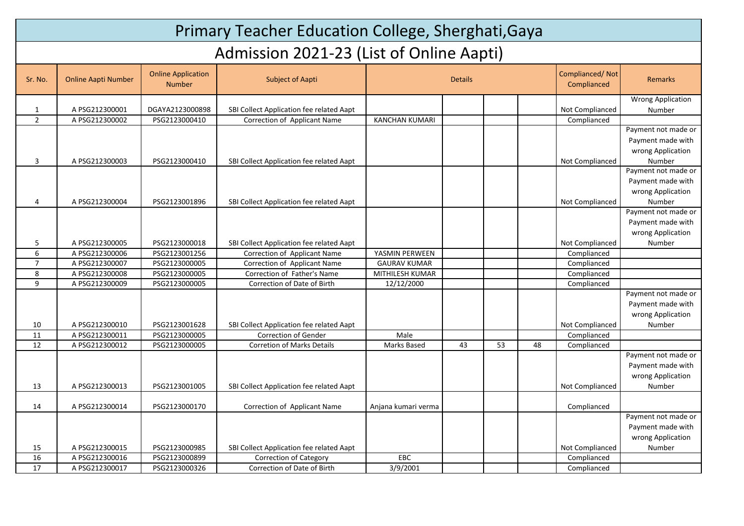|                |                            |                                            | Primary Teacher Education College, Sherghati, Gaya |                       |                |    |    |                                |                                                                         |
|----------------|----------------------------|--------------------------------------------|----------------------------------------------------|-----------------------|----------------|----|----|--------------------------------|-------------------------------------------------------------------------|
|                |                            |                                            | Admission 2021-23 (List of Online Aapti)           |                       |                |    |    |                                |                                                                         |
| Sr. No.        | <b>Online Aapti Number</b> | <b>Online Application</b><br><b>Number</b> | <b>Subject of Aapti</b>                            |                       | <b>Details</b> |    |    | Complianced/Not<br>Complianced | Remarks                                                                 |
| 1              | A PSG212300001             | DGAYA2123000898                            | SBI Collect Application fee related Aapt           |                       |                |    |    | Not Complianced                | <b>Wrong Application</b><br>Number                                      |
| $\overline{2}$ | A PSG212300002             | PSG2123000410                              | Correction of Applicant Name                       | <b>KANCHAN KUMARI</b> |                |    |    | Complianced                    |                                                                         |
| $\mathbf{3}$   | A PSG212300003             | PSG2123000410                              | SBI Collect Application fee related Aapt           |                       |                |    |    | Not Complianced                | Payment not made or<br>Payment made with<br>wrong Application<br>Number |
| $\overline{4}$ |                            |                                            |                                                    |                       |                |    |    |                                | Payment not made or<br>Payment made with<br>wrong Application           |
|                | A PSG212300004             | PSG2123001896                              | SBI Collect Application fee related Aapt           |                       |                |    |    | Not Complianced                | Number<br>Payment not made or<br>Payment made with<br>wrong Application |
| 5              | A PSG212300005             | PSG2123000018                              | SBI Collect Application fee related Aapt           |                       |                |    |    | Not Complianced                | Number                                                                  |
| 6              | A PSG212300006             | PSG2123001256                              | Correction of Applicant Name                       | YASMIN PERWEEN        |                |    |    | Complianced                    |                                                                         |
| $\overline{7}$ | A PSG212300007             | PSG2123000005                              | Correction of Applicant Name                       | <b>GAURAV KUMAR</b>   |                |    |    | Complianced                    |                                                                         |
| 8              | A PSG212300008             | PSG2123000005                              | Correction of Father's Name                        | MITHILESH KUMAR       |                |    |    | Complianced                    |                                                                         |
| 9              | A PSG212300009             | PSG2123000005                              | Correction of Date of Birth                        | 12/12/2000            |                |    |    | Complianced                    |                                                                         |
| 10             | A PSG212300010             | PSG2123001628                              | SBI Collect Application fee related Aapt           |                       |                |    |    | Not Complianced                | Payment not made or<br>Payment made with<br>wrong Application<br>Number |
| 11             | A PSG212300011             | PSG2123000005                              | <b>Correction of Gender</b>                        | Male                  |                |    |    | Complianced                    |                                                                         |
| 12             | A PSG212300012             | PSG2123000005                              | <b>Corretion of Marks Details</b>                  | Marks Based           | 43             | 53 | 48 | Complianced                    |                                                                         |
| 13             | A PSG212300013             | PSG2123001005                              | SBI Collect Application fee related Aapt           |                       |                |    |    | Not Complianced                | Payment not made or<br>Payment made with<br>wrong Application<br>Number |
| 14             | A PSG212300014             | PSG2123000170                              | Correction of Applicant Name                       | Anjana kumari verma   |                |    |    | Complianced                    |                                                                         |
|                | A PSG212300015             | PSG2123000985                              | SBI Collect Application fee related Aapt           |                       |                |    |    |                                | Payment not made or<br>Payment made with<br>wrong Application<br>Number |
| 15<br>16       | A PSG212300016             | PSG2123000899                              | <b>Correction of Category</b>                      | EBC                   |                |    |    | Not Complianced<br>Complianced |                                                                         |
| 17             | A PSG212300017             | PSG2123000326                              | Correction of Date of Birth                        | 3/9/2001              |                |    |    | Complianced                    |                                                                         |
|                |                            |                                            |                                                    |                       |                |    |    |                                |                                                                         |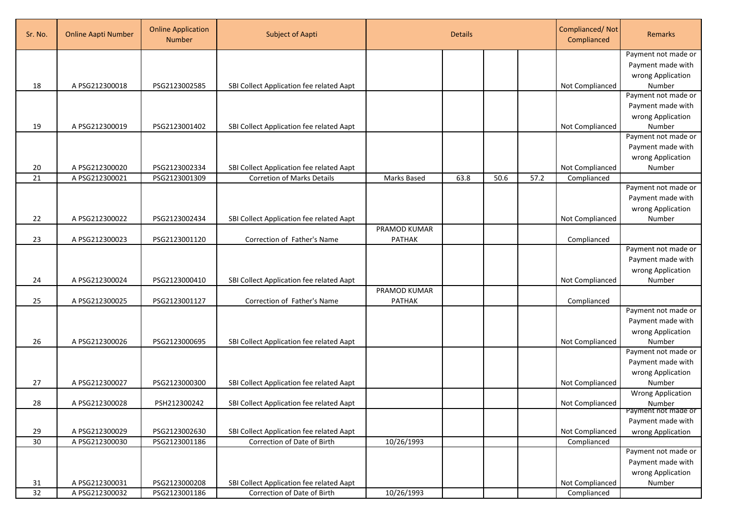| Sr. No.         | <b>Online Aapti Number</b> | <b>Online Application</b><br>Number | Subject of Aapti                         |                    | <b>Details</b> |      |      | Complianced/Not<br>Complianced | <b>Remarks</b>                           |
|-----------------|----------------------------|-------------------------------------|------------------------------------------|--------------------|----------------|------|------|--------------------------------|------------------------------------------|
|                 |                            |                                     |                                          |                    |                |      |      |                                | Payment not made or                      |
|                 |                            |                                     |                                          |                    |                |      |      |                                | Payment made with                        |
| 18              | A PSG212300018             | PSG2123002585                       |                                          |                    |                |      |      | Not Complianced                | wrong Application<br>Number              |
|                 |                            |                                     | SBI Collect Application fee related Aapt |                    |                |      |      |                                | Payment not made or                      |
|                 |                            |                                     |                                          |                    |                |      |      |                                | Payment made with                        |
|                 |                            |                                     |                                          |                    |                |      |      |                                | wrong Application                        |
| 19              | A PSG212300019             | PSG2123001402                       | SBI Collect Application fee related Aapt |                    |                |      |      | Not Complianced                | Number                                   |
|                 |                            |                                     |                                          |                    |                |      |      |                                | Payment not made or                      |
|                 |                            |                                     |                                          |                    |                |      |      |                                | Payment made with                        |
|                 |                            |                                     |                                          |                    |                |      |      |                                | wrong Application                        |
| 20              | A PSG212300020             | PSG2123002334                       | SBI Collect Application fee related Aapt |                    |                |      |      | Not Complianced                | Number                                   |
| $\overline{21}$ | A PSG212300021             | PSG2123001309                       | <b>Corretion of Marks Details</b>        | <b>Marks Based</b> | 63.8           | 50.6 | 57.2 | Complianced                    |                                          |
|                 |                            |                                     |                                          |                    |                |      |      |                                | Payment not made or<br>Payment made with |
|                 |                            |                                     |                                          |                    |                |      |      |                                | wrong Application                        |
| 22              | A PSG212300022             | PSG2123002434                       | SBI Collect Application fee related Aapt |                    |                |      |      | Not Complianced                | Number                                   |
|                 |                            |                                     |                                          | PRAMOD KUMAR       |                |      |      |                                |                                          |
| 23              | A PSG212300023             | PSG2123001120                       | Correction of Father's Name              | <b>PATHAK</b>      |                |      |      | Complianced                    |                                          |
|                 |                            |                                     |                                          |                    |                |      |      |                                | Payment not made or                      |
|                 |                            |                                     |                                          |                    |                |      |      |                                | Payment made with                        |
|                 |                            |                                     |                                          |                    |                |      |      |                                | wrong Application                        |
| 24              | A PSG212300024             | PSG2123000410                       | SBI Collect Application fee related Aapt |                    |                |      |      | Not Complianced                | Number                                   |
|                 |                            |                                     |                                          | PRAMOD KUMAR       |                |      |      |                                |                                          |
| 25              | A PSG212300025             | PSG2123001127                       | Correction of Father's Name              | PATHAK             |                |      |      | Complianced                    |                                          |
|                 |                            |                                     |                                          |                    |                |      |      |                                | Payment not made or<br>Payment made with |
|                 |                            |                                     |                                          |                    |                |      |      |                                | wrong Application                        |
| 26              | A PSG212300026             | PSG2123000695                       | SBI Collect Application fee related Aapt |                    |                |      |      | Not Complianced                | Number                                   |
|                 |                            |                                     |                                          |                    |                |      |      |                                | Payment not made or                      |
|                 |                            |                                     |                                          |                    |                |      |      |                                | Payment made with                        |
|                 |                            |                                     |                                          |                    |                |      |      |                                | wrong Application                        |
| 27              | A PSG212300027             | PSG2123000300                       | SBI Collect Application fee related Aapt |                    |                |      |      | Not Complianced                | Number                                   |
|                 |                            |                                     |                                          |                    |                |      |      |                                | <b>Wrong Application</b>                 |
| 28              | A PSG212300028             | PSH212300242                        | SBI Collect Application fee related Aapt |                    |                |      |      | Not Complianced                | Number                                   |
|                 |                            |                                     |                                          |                    |                |      |      |                                | Payment not made or<br>Payment made with |
| 29              | A PSG212300029             | PSG2123002630                       | SBI Collect Application fee related Aapt |                    |                |      |      | Not Complianced                | wrong Application                        |
| 30              | A PSG212300030             | PSG2123001186                       | Correction of Date of Birth              | 10/26/1993         |                |      |      | Complianced                    |                                          |
|                 |                            |                                     |                                          |                    |                |      |      |                                | Payment not made or                      |
|                 |                            |                                     |                                          |                    |                |      |      |                                | Payment made with                        |
|                 |                            |                                     |                                          |                    |                |      |      |                                | wrong Application                        |
| 31              | A PSG212300031             | PSG2123000208                       | SBI Collect Application fee related Aapt |                    |                |      |      | Not Complianced                | Number                                   |
| 32              | A PSG212300032             | PSG2123001186                       | Correction of Date of Birth              | 10/26/1993         |                |      |      | Complianced                    |                                          |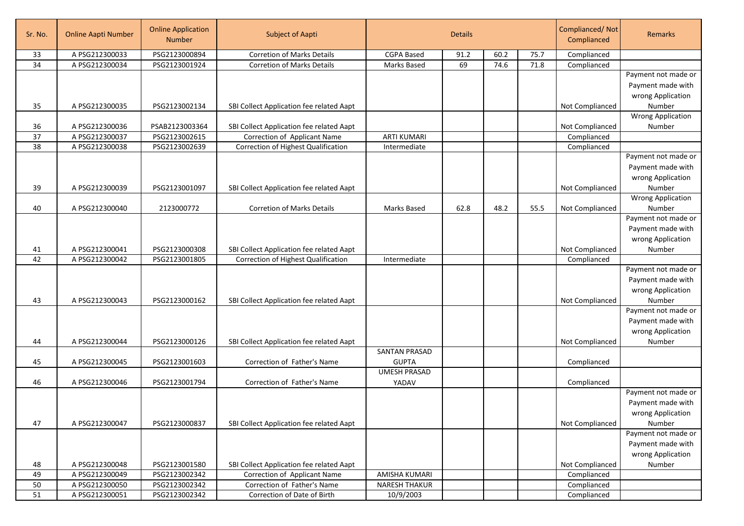| Sr. No. | <b>Online Aapti Number</b> | <b>Online Application</b><br><b>Number</b> | Subject of Aapti                         |                       | <b>Details</b> |      |      | Complianced/Not<br>Complianced | Remarks                                                                                             |
|---------|----------------------------|--------------------------------------------|------------------------------------------|-----------------------|----------------|------|------|--------------------------------|-----------------------------------------------------------------------------------------------------|
| 33      | A PSG212300033             | PSG2123000894                              | <b>Corretion of Marks Details</b>        | <b>CGPA Based</b>     | 91.2           | 60.2 | 75.7 | Complianced                    |                                                                                                     |
| 34      | A PSG212300034             | PSG2123001924                              | <b>Corretion of Marks Details</b>        | Marks Based           | 69             | 74.6 | 71.8 | Complianced                    |                                                                                                     |
| 35      | A PSG212300035             | PSG2123002134                              | SBI Collect Application fee related Aapt |                       |                |      |      | Not Complianced                | Payment not made or<br>Payment made with<br>wrong Application<br>Number                             |
| 36      | A PSG212300036             | PSAB2123003364                             | SBI Collect Application fee related Aapt |                       |                |      |      | Not Complianced                | <b>Wrong Application</b><br>Number                                                                  |
| 37      | A PSG212300037             | PSG2123002615                              | Correction of Applicant Name             | <b>ARTI KUMARI</b>    |                |      |      | Complianced                    |                                                                                                     |
| 38      | A PSG212300038             | PSG2123002639                              | Correction of Highest Qualification      | Intermediate          |                |      |      | Complianced                    |                                                                                                     |
| 39      | A PSG212300039             | PSG2123001097                              | SBI Collect Application fee related Aapt |                       |                |      |      | Not Complianced                | Payment not made or<br>Payment made with<br>wrong Application<br>Number<br><b>Wrong Application</b> |
| 40      | A PSG212300040             | 2123000772                                 | Corretion of Marks Details               | Marks Based           | 62.8           | 48.2 | 55.5 | Not Complianced                | Number                                                                                              |
| 41      | A PSG212300041             | PSG2123000308                              | SBI Collect Application fee related Aapt |                       |                |      |      | Not Complianced                | Payment not made or<br>Payment made with<br>wrong Application<br>Number                             |
| 42      | A PSG212300042             | PSG2123001805                              | Correction of Highest Qualification      | Intermediate          |                |      |      | Complianced                    |                                                                                                     |
| 43      | A PSG212300043             | PSG2123000162                              | SBI Collect Application fee related Aapt |                       |                |      |      | Not Complianced                | Payment not made or<br>Payment made with<br>wrong Application<br>Number                             |
| 44      | A PSG212300044             | PSG2123000126                              | SBI Collect Application fee related Aapt |                       |                |      |      | Not Complianced                | Payment not made or<br>Payment made with<br>wrong Application<br>Number                             |
|         |                            |                                            |                                          | <b>SANTAN PRASAD</b>  |                |      |      |                                |                                                                                                     |
| 45      | A PSG212300045             | PSG2123001603                              | Correction of Father's Name              | <b>GUPTA</b>          |                |      |      | Complianced                    |                                                                                                     |
| 46      | A PSG212300046             | PSG2123001794                              | Correction of Father's Name              | UMESH PRASAD<br>YADAV |                |      |      | Complianced                    |                                                                                                     |
| 47      | A PSG212300047             | PSG2123000837                              | SBI Collect Application fee related Aapt |                       |                |      |      | Not Complianced                | Payment not made or<br>Payment made with<br>wrong Application<br>Number                             |
|         |                            |                                            |                                          |                       |                |      |      |                                | Payment not made or                                                                                 |
|         |                            |                                            |                                          |                       |                |      |      |                                | Payment made with<br>wrong Application                                                              |
| 48      | A PSG212300048             | PSG2123001580                              | SBI Collect Application fee related Aapt |                       |                |      |      | Not Complianced                | Number                                                                                              |
| 49      | A PSG212300049             | PSG2123002342                              | Correction of Applicant Name             | AMISHA KUMARI         |                |      |      | Complianced                    |                                                                                                     |
| 50      | A PSG212300050             | PSG2123002342                              | Correction of Father's Name              | NARESH THAKUR         |                |      |      | Complianced                    |                                                                                                     |
| 51      | A PSG212300051             | PSG2123002342                              | Correction of Date of Birth              | 10/9/2003             |                |      |      | Complianced                    |                                                                                                     |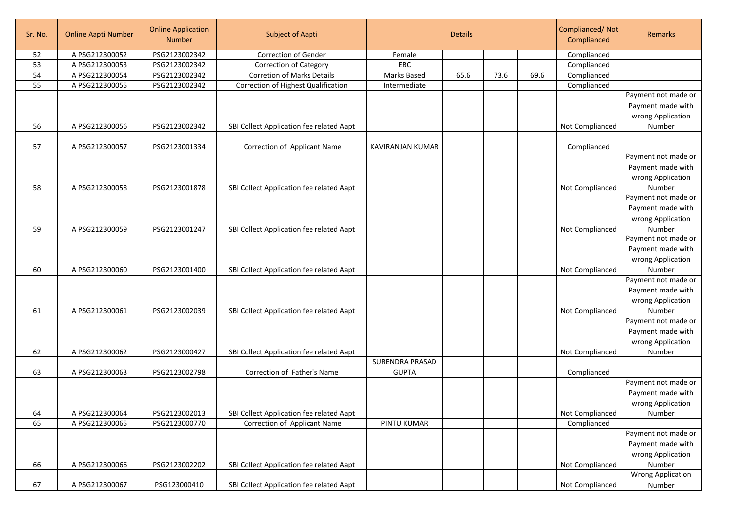| Sr. No. | <b>Online Aapti Number</b> | <b>Online Application</b><br><b>Number</b> | <b>Subject of Aapti</b>                  |                        | <b>Details</b> |      |      | Complianced/Not<br>Complianced | Remarks                                                                 |
|---------|----------------------------|--------------------------------------------|------------------------------------------|------------------------|----------------|------|------|--------------------------------|-------------------------------------------------------------------------|
| 52      | A PSG212300052             | PSG2123002342                              | Correction of Gender                     | Female                 |                |      |      | Complianced                    |                                                                         |
| 53      | A PSG212300053             | PSG2123002342                              | <b>Correction of Category</b>            | EBC                    |                |      |      | Complianced                    |                                                                         |
| 54      | A PSG212300054             | PSG2123002342                              | <b>Corretion of Marks Details</b>        | Marks Based            | 65.6           | 73.6 | 69.6 | Complianced                    |                                                                         |
| 55      | A PSG212300055             | PSG2123002342                              | Correction of Highest Qualification      | Intermediate           |                |      |      | Complianced                    |                                                                         |
|         |                            |                                            |                                          |                        |                |      |      |                                | Payment not made or<br>Payment made with<br>wrong Application           |
| 56      | A PSG212300056             | PSG2123002342                              | SBI Collect Application fee related Aapt |                        |                |      |      | Not Complianced                | Number                                                                  |
| 57      | A PSG212300057             | PSG2123001334                              | Correction of Applicant Name             | KAVIRANJAN KUMAR       |                |      |      | Complianced                    |                                                                         |
|         |                            |                                            |                                          |                        |                |      |      |                                | Payment not made or<br>Payment made with<br>wrong Application           |
| 58      | A PSG212300058             | PSG2123001878                              | SBI Collect Application fee related Aapt |                        |                |      |      | Not Complianced                | Number                                                                  |
|         |                            |                                            |                                          |                        |                |      |      |                                | Payment not made or<br>Payment made with<br>wrong Application           |
| 59      | A PSG212300059             | PSG2123001247                              | SBI Collect Application fee related Aapt |                        |                |      |      | Not Complianced                | Number                                                                  |
| 60      | A PSG212300060             | PSG2123001400                              | SBI Collect Application fee related Aapt |                        |                |      |      | Not Complianced                | Payment not made or<br>Payment made with<br>wrong Application<br>Number |
| 61      | A PSG212300061             | PSG2123002039                              | SBI Collect Application fee related Aapt |                        |                |      |      | Not Complianced                | Payment not made or<br>Payment made with<br>wrong Application<br>Number |
| 62      | A PSG212300062             | PSG2123000427                              | SBI Collect Application fee related Aapt |                        |                |      |      | Not Complianced                | Payment not made or<br>Payment made with<br>wrong Application<br>Number |
|         |                            |                                            |                                          | <b>SURENDRA PRASAD</b> |                |      |      |                                |                                                                         |
| 63      | A PSG212300063             | PSG2123002798                              | Correction of Father's Name              | <b>GUPTA</b>           |                |      |      | Complianced                    |                                                                         |
| 64      | A PSG212300064             | PSG2123002013                              | SBI Collect Application fee related Aapt |                        |                |      |      | Not Complianced                | Payment not made or<br>Payment made with<br>wrong Application<br>Number |
| 65      | A PSG212300065             | PSG2123000770                              | Correction of Applicant Name             | <b>PINTU KUMAR</b>     |                |      |      | Complianced                    |                                                                         |
|         |                            |                                            |                                          |                        |                |      |      |                                | Payment not made or<br>Payment made with<br>wrong Application           |
| 66      | A PSG212300066             | PSG2123002202                              | SBI Collect Application fee related Aapt |                        |                |      |      | Not Complianced                | Number                                                                  |
| 67      | A PSG212300067             | PSG123000410                               | SBI Collect Application fee related Aapt |                        |                |      |      | Not Complianced                | <b>Wrong Application</b><br>Number                                      |